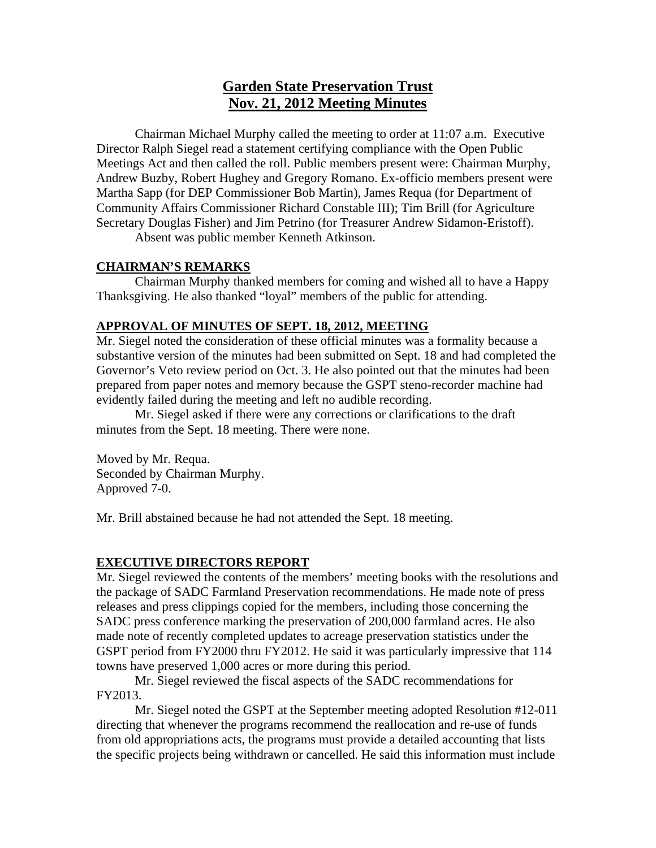# **Garden State Preservation Trust Nov. 21, 2012 Meeting Minutes**

Chairman Michael Murphy called the meeting to order at 11:07 a.m. Executive Director Ralph Siegel read a statement certifying compliance with the Open Public Meetings Act and then called the roll. Public members present were: Chairman Murphy, Andrew Buzby, Robert Hughey and Gregory Romano. Ex-officio members present were Martha Sapp (for DEP Commissioner Bob Martin), James Requa (for Department of Community Affairs Commissioner Richard Constable III); Tim Brill (for Agriculture Secretary Douglas Fisher) and Jim Petrino (for Treasurer Andrew Sidamon-Eristoff).

Absent was public member Kenneth Atkinson.

### **CHAIRMAN'S REMARKS**

 Chairman Murphy thanked members for coming and wished all to have a Happy Thanksgiving. He also thanked "loyal" members of the public for attending.

### **APPROVAL OF MINUTES OF SEPT. 18, 2012, MEETING**

Mr. Siegel noted the consideration of these official minutes was a formality because a substantive version of the minutes had been submitted on Sept. 18 and had completed the Governor's Veto review period on Oct. 3. He also pointed out that the minutes had been prepared from paper notes and memory because the GSPT steno-recorder machine had evidently failed during the meeting and left no audible recording.

 Mr. Siegel asked if there were any corrections or clarifications to the draft minutes from the Sept. 18 meeting. There were none.

Moved by Mr. Requa. Seconded by Chairman Murphy. Approved 7-0.

Mr. Brill abstained because he had not attended the Sept. 18 meeting.

### **EXECUTIVE DIRECTORS REPORT**

Mr. Siegel reviewed the contents of the members' meeting books with the resolutions and the package of SADC Farmland Preservation recommendations. He made note of press releases and press clippings copied for the members, including those concerning the SADC press conference marking the preservation of 200,000 farmland acres. He also made note of recently completed updates to acreage preservation statistics under the GSPT period from FY2000 thru FY2012. He said it was particularly impressive that 114 towns have preserved 1,000 acres or more during this period.

 Mr. Siegel reviewed the fiscal aspects of the SADC recommendations for FY2013.

 Mr. Siegel noted the GSPT at the September meeting adopted Resolution #12-011 directing that whenever the programs recommend the reallocation and re-use of funds from old appropriations acts, the programs must provide a detailed accounting that lists the specific projects being withdrawn or cancelled. He said this information must include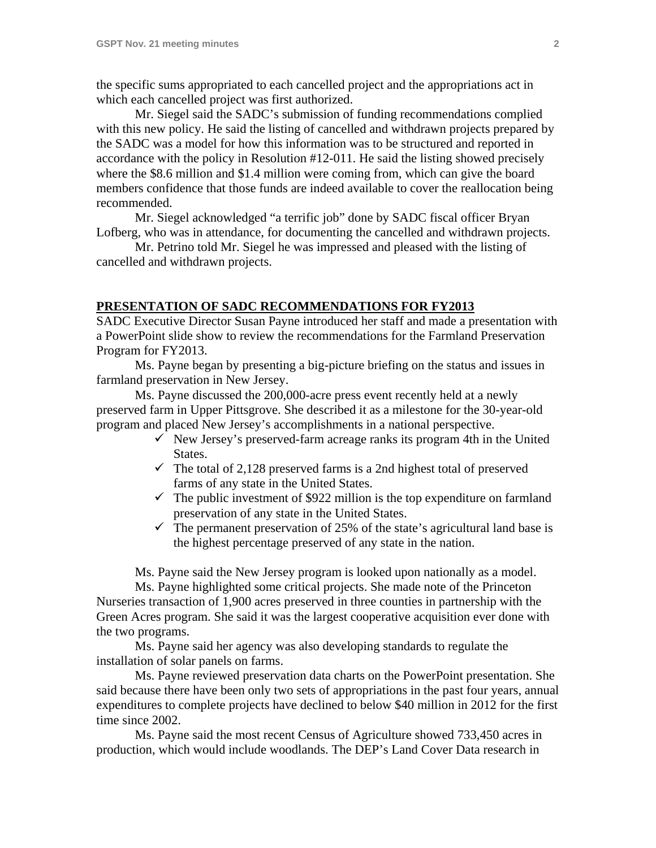the specific sums appropriated to each cancelled project and the appropriations act in which each cancelled project was first authorized.

 Mr. Siegel said the SADC's submission of funding recommendations complied with this new policy. He said the listing of cancelled and withdrawn projects prepared by the SADC was a model for how this information was to be structured and reported in accordance with the policy in Resolution #12-011. He said the listing showed precisely where the \$8.6 million and \$1.4 million were coming from, which can give the board members confidence that those funds are indeed available to cover the reallocation being recommended.

 Mr. Siegel acknowledged "a terrific job" done by SADC fiscal officer Bryan Lofberg, who was in attendance, for documenting the cancelled and withdrawn projects.

 Mr. Petrino told Mr. Siegel he was impressed and pleased with the listing of cancelled and withdrawn projects.

### **PRESENTATION OF SADC RECOMMENDATIONS FOR FY2013**

SADC Executive Director Susan Payne introduced her staff and made a presentation with a PowerPoint slide show to review the recommendations for the Farmland Preservation Program for FY2013.

 Ms. Payne began by presenting a big-picture briefing on the status and issues in farmland preservation in New Jersey.

 Ms. Payne discussed the 200,000-acre press event recently held at a newly preserved farm in Upper Pittsgrove. She described it as a milestone for the 30-year-old program and placed New Jersey's accomplishments in a national perspective.

- $\checkmark$  New Jersey's preserved-farm acreage ranks its program 4th in the United States.
- $\checkmark$  The total of 2,128 preserved farms is a 2nd highest total of preserved farms of any state in the United States.
- $\checkmark$  The public investment of \$922 million is the top expenditure on farmland preservation of any state in the United States.
- $\checkmark$  The permanent preservation of 25% of the state's agricultural land base is the highest percentage preserved of any state in the nation.

Ms. Payne said the New Jersey program is looked upon nationally as a model.

 Ms. Payne highlighted some critical projects. She made note of the Princeton Nurseries transaction of 1,900 acres preserved in three counties in partnership with the Green Acres program. She said it was the largest cooperative acquisition ever done with the two programs.

 Ms. Payne said her agency was also developing standards to regulate the installation of solar panels on farms.

 Ms. Payne reviewed preservation data charts on the PowerPoint presentation. She said because there have been only two sets of appropriations in the past four years, annual expenditures to complete projects have declined to below \$40 million in 2012 for the first time since 2002.

 Ms. Payne said the most recent Census of Agriculture showed 733,450 acres in production, which would include woodlands. The DEP's Land Cover Data research in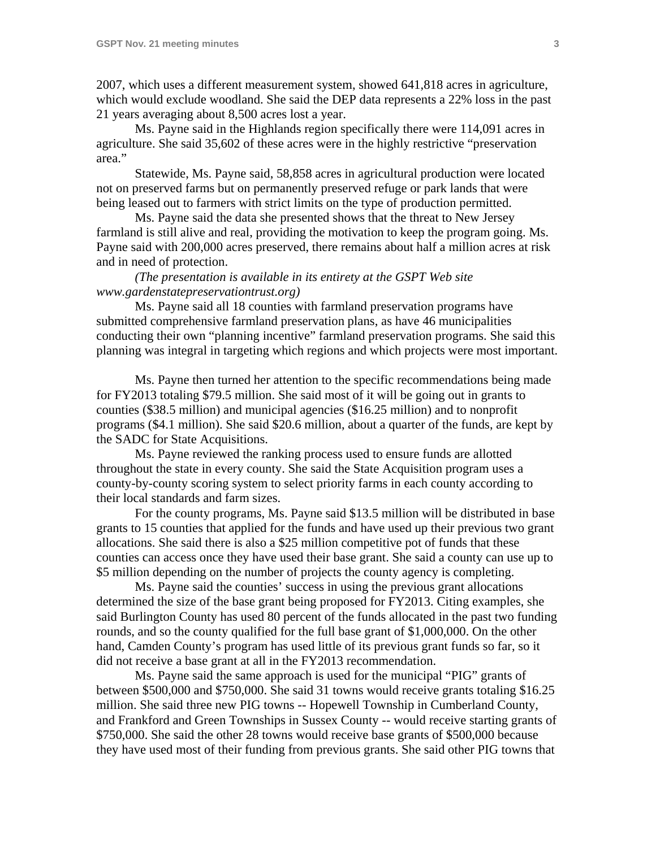2007, which uses a different measurement system, showed 641,818 acres in agriculture, which would exclude woodland. She said the DEP data represents a 22% loss in the past 21 years averaging about 8,500 acres lost a year.

 Ms. Payne said in the Highlands region specifically there were 114,091 acres in agriculture. She said 35,602 of these acres were in the highly restrictive "preservation area."

 Statewide, Ms. Payne said, 58,858 acres in agricultural production were located not on preserved farms but on permanently preserved refuge or park lands that were being leased out to farmers with strict limits on the type of production permitted.

 Ms. Payne said the data she presented shows that the threat to New Jersey farmland is still alive and real, providing the motivation to keep the program going. Ms. Payne said with 200,000 acres preserved, there remains about half a million acres at risk and in need of protection.

### *(The presentation is available in its entirety at the GSPT Web site www.gardenstatepreservationtrust.org)*

 Ms. Payne said all 18 counties with farmland preservation programs have submitted comprehensive farmland preservation plans, as have 46 municipalities conducting their own "planning incentive" farmland preservation programs. She said this planning was integral in targeting which regions and which projects were most important.

 Ms. Payne then turned her attention to the specific recommendations being made for FY2013 totaling \$79.5 million. She said most of it will be going out in grants to counties (\$38.5 million) and municipal agencies (\$16.25 million) and to nonprofit programs (\$4.1 million). She said \$20.6 million, about a quarter of the funds, are kept by the SADC for State Acquisitions.

 Ms. Payne reviewed the ranking process used to ensure funds are allotted throughout the state in every county. She said the State Acquisition program uses a county-by-county scoring system to select priority farms in each county according to their local standards and farm sizes.

 For the county programs, Ms. Payne said \$13.5 million will be distributed in base grants to 15 counties that applied for the funds and have used up their previous two grant allocations. She said there is also a \$25 million competitive pot of funds that these counties can access once they have used their base grant. She said a county can use up to \$5 million depending on the number of projects the county agency is completing.

 Ms. Payne said the counties' success in using the previous grant allocations determined the size of the base grant being proposed for FY2013. Citing examples, she said Burlington County has used 80 percent of the funds allocated in the past two funding rounds, and so the county qualified for the full base grant of \$1,000,000. On the other hand, Camden County's program has used little of its previous grant funds so far, so it did not receive a base grant at all in the FY2013 recommendation.

 Ms. Payne said the same approach is used for the municipal "PIG" grants of between \$500,000 and \$750,000. She said 31 towns would receive grants totaling \$16.25 million. She said three new PIG towns -- Hopewell Township in Cumberland County, and Frankford and Green Townships in Sussex County -- would receive starting grants of \$750,000. She said the other 28 towns would receive base grants of \$500,000 because they have used most of their funding from previous grants. She said other PIG towns that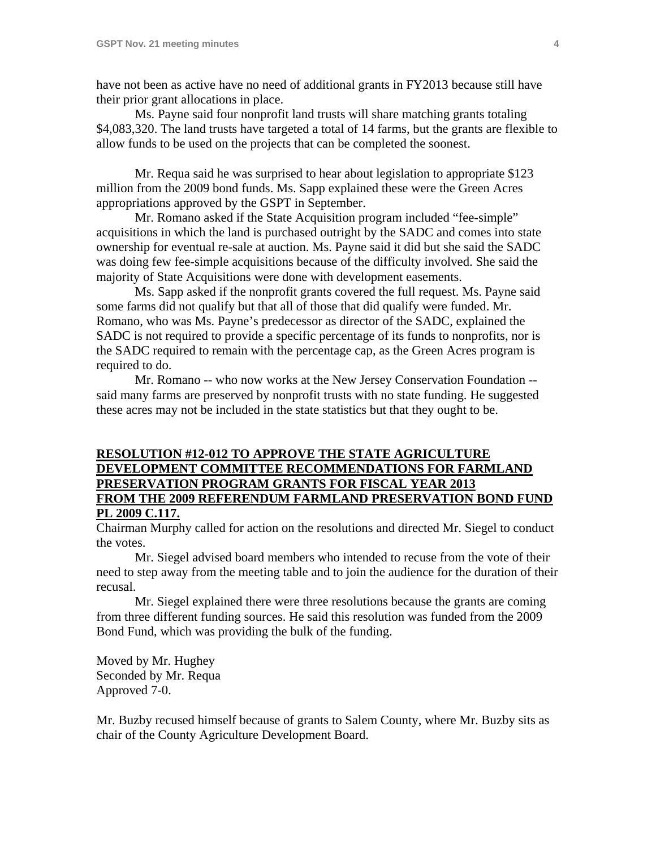have not been as active have no need of additional grants in FY2013 because still have their prior grant allocations in place.

 Ms. Payne said four nonprofit land trusts will share matching grants totaling \$4,083,320. The land trusts have targeted a total of 14 farms, but the grants are flexible to allow funds to be used on the projects that can be completed the soonest.

 Mr. Requa said he was surprised to hear about legislation to appropriate \$123 million from the 2009 bond funds. Ms. Sapp explained these were the Green Acres appropriations approved by the GSPT in September.

 Mr. Romano asked if the State Acquisition program included "fee-simple" acquisitions in which the land is purchased outright by the SADC and comes into state ownership for eventual re-sale at auction. Ms. Payne said it did but she said the SADC was doing few fee-simple acquisitions because of the difficulty involved. She said the majority of State Acquisitions were done with development easements.

 Ms. Sapp asked if the nonprofit grants covered the full request. Ms. Payne said some farms did not qualify but that all of those that did qualify were funded. Mr. Romano, who was Ms. Payne's predecessor as director of the SADC, explained the SADC is not required to provide a specific percentage of its funds to nonprofits, nor is the SADC required to remain with the percentage cap, as the Green Acres program is required to do.

 Mr. Romano -- who now works at the New Jersey Conservation Foundation - said many farms are preserved by nonprofit trusts with no state funding. He suggested these acres may not be included in the state statistics but that they ought to be.

# **RESOLUTION #12-012 TO APPROVE THE STATE AGRICULTURE DEVELOPMENT COMMITTEE RECOMMENDATIONS FOR FARMLAND PRESERVATION PROGRAM GRANTS FOR FISCAL YEAR 2013 FROM THE 2009 REFERENDUM FARMLAND PRESERVATION BOND FUND PL 2009 C.117.**

Chairman Murphy called for action on the resolutions and directed Mr. Siegel to conduct the votes.

 Mr. Siegel advised board members who intended to recuse from the vote of their need to step away from the meeting table and to join the audience for the duration of their recusal.

 Mr. Siegel explained there were three resolutions because the grants are coming from three different funding sources. He said this resolution was funded from the 2009 Bond Fund, which was providing the bulk of the funding.

Moved by Mr. Hughey Seconded by Mr. Requa Approved 7-0.

Mr. Buzby recused himself because of grants to Salem County, where Mr. Buzby sits as chair of the County Agriculture Development Board.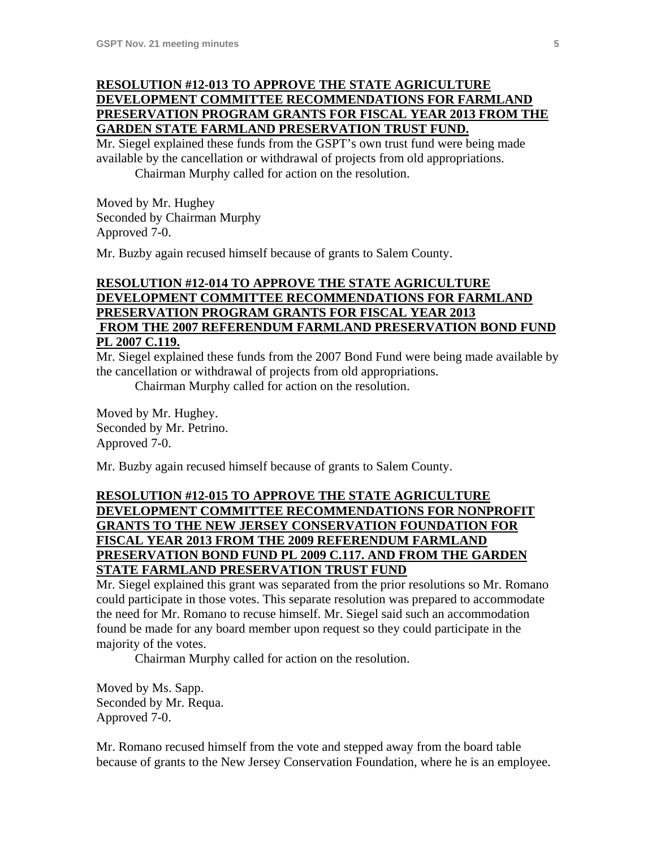# **RESOLUTION #12-013 TO APPROVE THE STATE AGRICULTURE DEVELOPMENT COMMITTEE RECOMMENDATIONS FOR FARMLAND PRESERVATION PROGRAM GRANTS FOR FISCAL YEAR 2013 FROM THE GARDEN STATE FARMLAND PRESERVATION TRUST FUND.**

Mr. Siegel explained these funds from the GSPT's own trust fund were being made available by the cancellation or withdrawal of projects from old appropriations. Chairman Murphy called for action on the resolution.

Moved by Mr. Hughey Seconded by Chairman Murphy Approved 7-0.

Mr. Buzby again recused himself because of grants to Salem County.

# **RESOLUTION #12-014 TO APPROVE THE STATE AGRICULTURE DEVELOPMENT COMMITTEE RECOMMENDATIONS FOR FARMLAND PRESERVATION PROGRAM GRANTS FOR FISCAL YEAR 2013 FROM THE 2007 REFERENDUM FARMLAND PRESERVATION BOND FUND PL 2007 C.119.**

Mr. Siegel explained these funds from the 2007 Bond Fund were being made available by the cancellation or withdrawal of projects from old appropriations.

Chairman Murphy called for action on the resolution.

Moved by Mr. Hughey. Seconded by Mr. Petrino. Approved 7-0.

Mr. Buzby again recused himself because of grants to Salem County.

# **RESOLUTION #12-015 TO APPROVE THE STATE AGRICULTURE DEVELOPMENT COMMITTEE RECOMMENDATIONS FOR NONPROFIT GRANTS TO THE NEW JERSEY CONSERVATION FOUNDATION FOR FISCAL YEAR 2013 FROM THE 2009 REFERENDUM FARMLAND PRESERVATION BOND FUND PL 2009 C.117. AND FROM THE GARDEN STATE FARMLAND PRESERVATION TRUST FUND**

Mr. Siegel explained this grant was separated from the prior resolutions so Mr. Romano could participate in those votes. This separate resolution was prepared to accommodate the need for Mr. Romano to recuse himself. Mr. Siegel said such an accommodation found be made for any board member upon request so they could participate in the majority of the votes.

Chairman Murphy called for action on the resolution.

Moved by Ms. Sapp. Seconded by Mr. Requa. Approved 7-0.

Mr. Romano recused himself from the vote and stepped away from the board table because of grants to the New Jersey Conservation Foundation, where he is an employee.